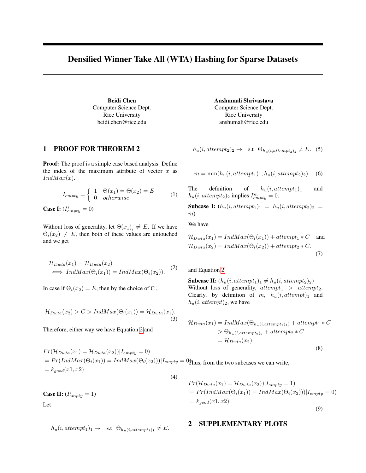## Densified Winner Take All (WTA) Hashing for Sparse Datasets

Beidi Chen Computer Science Dept. Rice University beidi.chen@rice.edu

## 1 PROOF FOR THEOREM 2

Proof: The proof is a simple case based analysis. Define the index of the maximum attribute of vector  $x$  as  $IndMax(x)$ .

$$
I_{empty} = \begin{cases} 1 & \Theta(x_1) = \Theta(x_2) = E \\ 0 & otherwise \end{cases}
$$
 (1)

**Case I:**  $(I_{empty}^i = 0)$ 

Without loss of generality, let  $\Theta(x_1)_i \neq E$ . If we have  $\Theta_i(x_2) \neq E$ , then both of these values are untouched and we get

<span id="page-0-0"></span>
$$
\mathcal{H}_{Dwta}(x_1) = \mathcal{H}_{Dwta}(x_2)
$$
  

$$
\iff IndMax(\Theta_i(x_1)) = IndMax(\Theta_i(x_2)).
$$
 (2)

In case if  $\Theta_i(x_2) = E$ , then by the choice of C,

$$
\mathcal{H}_{Dwta}(x_2) > C > IndMax(\Theta_i(x_1)) = \mathcal{H}_{Dwta}(x_1).
$$
\n(3)

Therefore, either way we have Equation [2](#page-0-0) and

$$
Pr(\mathcal{H}_{Dwta}(x_1) = \mathcal{H}_{Dwta}(x_2)) | I_{empty} = 0)
$$
  
= 
$$
Pr(IndMax(\Theta_i(x_1)) = IndMax(\Theta_i(x_2))) | I_{empty} = 0
$$
  
= 
$$
k_{good}(x_1, x_2)
$$
  
(4)

**Case II:**  $(I_{empty}^i = 1)$ Let

$$
h_u(i, attempt_1)_1 \rightarrow \text{s.t } \Theta_{h_u(i, attempt_1)_1} \neq E.
$$

Anshumali Shrivastava Computer Science Dept. Rice University anshumali@rice.edu

$$
h_u(i, attempt_2)_2 \rightarrow \text{s.t } \Theta_{h_u(i, attempt_2)_2} \neq E. \quad (5)
$$

 $m = \min(h_u(i, attempt_1), h_u(i, attempt_2)_2).$  (6)

The definition of  $h_u(i, attempt_1)_1$  and  $h_u(i, attempt_2)_2$  implies  $I_{empty}^m = 0$ .

Subcase I:  $(h_u(i, attempt_1)_1 = h_u(i, attempt_2)_2 =$ m)

We have

$$
\mathcal{H}_{Dwta}(x_1) = IndMax(\Theta_t(x_1)) + attempt_1 * C \text{ and}
$$
  

$$
\mathcal{H}_{Dwta}(x_2) = IndMax(\Theta_t(x_2)) + attempt_2 * C.
$$
  
(7)

and Equation [2.](#page-0-0)

Subcase II:  $(h_u(i, attempt_1)_1 \neq h_u(i, attempt_2)_2)$ Without loss of generality,  $attempt_1 > attempt_2$ . Clearly, by definition of m,  $h_u(i, attempt)_1$  and  $h_u(i, attempt)_2$ , we have

$$
\mathcal{H}_{Dwta}(x_1) = IndMax(\Theta_{h_u(i, attempt_1)_1}) + attempt_1 * C
$$
  
>  $\Theta_{h_u(i, attempt_2)_2} + attempt_2 * C$   
=  $\mathcal{H}_{Dwta}(x_2)$ . (8)

$$
Pr(\mathcal{H}_{Dwta}(x_1) = \mathcal{H}_{Dwta}(x_2)) | I_{empty} = 1)
$$
  
= Pr(IndMax(\Theta\_i(x\_1)) = IndMax(\Theta\_i(x\_2))) | I\_{empty} = 0)  
= k\_{good}(x\_1, x\_2) (9)

## 2 SUPPLEMENTARY PLOTS